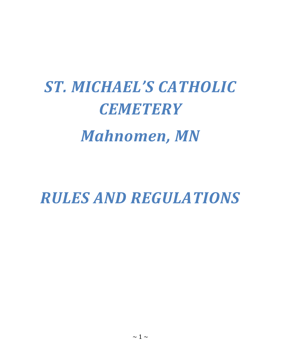# *ST. MICHAEL'S CATHOLIC CEMETERY Mahnomen, MN*

*RULES AND REGULATIONS*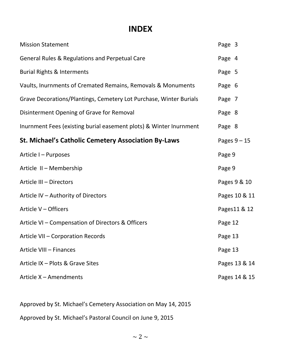# **INDEX**

| <b>Mission Statement</b>                                           | Page 3         |
|--------------------------------------------------------------------|----------------|
| <b>General Rules &amp; Regulations and Perpetual Care</b>          | Page 4         |
| <b>Burial Rights &amp; Interments</b>                              | Page 5         |
| Vaults, Inurnments of Cremated Remains, Removals & Monuments       | Page 6         |
| Grave Decorations/Plantings, Cemetery Lot Purchase, Winter Burials | Page 7         |
| Disinterment Opening of Grave for Removal                          | Page 8         |
| Inurnment Fees (existing burial easement plots) & Winter Inurnment | Page 8         |
| <b>St. Michael's Catholic Cemetery Association By-Laws</b>         | Pages $9 - 15$ |
| Article I - Purposes                                               | Page 9         |
| Article II - Membership                                            | Page 9         |
| Article III - Directors                                            | Pages 9 & 10   |
| Article IV - Authority of Directors                                | Pages 10 & 11  |
| Article V - Officers                                               | Pages11 & 12   |
| Article VI - Compensation of Directors & Officers                  | Page 12        |
| Article VII - Corporation Records                                  | Page 13        |
| Article VIII - Finances                                            | Page 13        |
| Article IX - Plots & Grave Sites                                   | Pages 13 & 14  |
| Article X - Amendments                                             | Pages 14 & 15  |

Approved by St. Michael's Cemetery Association on May 14, 2015

Approved by St. Michael's Pastoral Council on June 9, 2015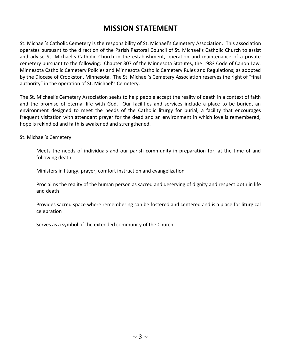# **MISSION STATEMENT**

St. Michael's Catholic Cemetery is the responsibility of St. Michael's Cemetery Association. This association operates pursuant to the direction of the Parish Pastoral Council of St. Michael's Catholic Church to assist and advise St. Michael's Catholic Church in the establishment, operation and maintenance of a private cemetery pursuant to the following: Chapter 307 of the Minnesota Statutes, the 1983 Code of Canon Law, Minnesota Catholic Cemetery Policies and Minnesota Catholic Cemetery Rules and Regulations; as adopted by the Diocese of Crookston, Minnesota. The St. Michael's Cemetery Association reserves the right of "final authority" in the operation of St. Michael's Cemetery.

The St. Michael's Cemetery Association seeks to help people accept the reality of death in a context of faith and the promise of eternal life with God. Our facilities and services include a place to be buried, an environment designed to meet the needs of the Catholic liturgy for burial, a facility that encourages frequent visitation with attendant prayer for the dead and an environment in which love is remembered, hope is rekindled and faith is awakened and strengthened.

St. Michael's Cemetery

Meets the needs of individuals and our parish community in preparation for, at the time of and following death

Ministers in liturgy, prayer, comfort instruction and evangelization

Proclaims the reality of the human person as sacred and deserving of dignity and respect both in life and death

Provides sacred space where remembering can be fostered and centered and is a place for liturgical celebration

Serves as a symbol of the extended community of the Church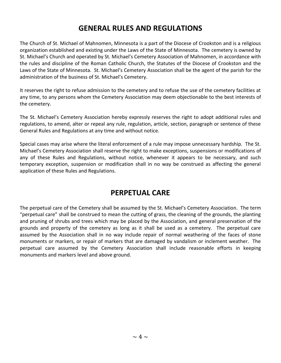# **GENERAL RULES AND REGULATIONS**

The Church of St. Michael of Mahnomen, Minnesota is a part of the Diocese of Crookston and is a religious organization established and existing under the Laws of the State of Minnesota. The cemetery is owned by St. Michael's Church and operated by St. Michael's Cemetery Association of Mahnomen, in accordance with the rules and discipline of the Roman Catholic Church, the Statutes of the Diocese of Crookston and the Laws of the State of Minnesota. St. Michael's Cemetery Association shall be the agent of the parish for the administration of the business of St. Michael's Cemetery.

It reserves the right to refuse admission to the cemetery and to refuse the use of the cemetery facilities at any time, to any persons whom the Cemetery Association may deem objectionable to the best interests of the cemetery.

The St. Michael's Cemetery Association hereby expressly reserves the right to adopt additional rules and regulations, to amend, alter or repeal any rule, regulation, article, section, paragraph or sentence of these General Rules and Regulations at any time and without notice.

Special cases may arise where the literal enforcement of a rule may impose unnecessary hardship. The St. Michael's Cemetery Association shall reserve the right to make exceptions, suspensions or modifications of any of these Rules and Regulations, without notice, whenever it appears to be necessary, and such temporary exception, suspension or modification shall in no way be construed as affecting the general application of these Rules and Regulations.

# **PERPETUAL CARE**

The perpetual care of the Cemetery shall be assumed by the St. Michael's Cemetery Association. The term "perpetual care" shall be construed to mean the cutting of grass, the cleaning of the grounds, the planting and pruning of shrubs and trees which may be placed by the Association, and general preservation of the grounds and property of the cemetery as long as it shall be used as a cemetery. The perpetual care assumed by the Association shall in no way include repair of normal weathering of the faces of stone monuments or markers, or repair of markers that are damaged by vandalism or inclement weather. The perpetual care assumed by the Cemetery Association shall include reasonable efforts in keeping monuments and markers level and above ground.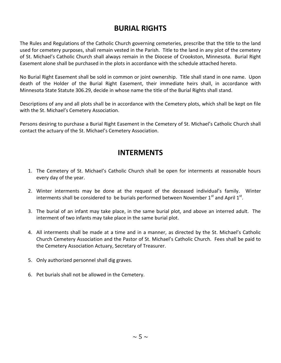# **BURIAL RIGHTS**

The Rules and Regulations of the Catholic Church governing cemeteries, prescribe that the title to the land used for cemetery purposes, shall remain vested in the Parish. Title to the land in any plot of the cemetery of St. Michael's Catholic Church shall always remain in the Diocese of Crookston, Minnesota. Burial Right Easement alone shall be purchased in the plots in accordance with the schedule attached hereto.

No Burial Right Easement shall be sold in common or joint ownership. Title shall stand in one name. Upon death of the Holder of the Burial Right Easement, their immediate heirs shall, in accordance with Minnesota State Statute 306.29, decide in whose name the title of the Burial Rights shall stand.

Descriptions of any and all plots shall be in accordance with the Cemetery plots, which shall be kept on file with the St. Michael's Cemetery Association.

Persons desiring to purchase a Burial Right Easement in the Cemetery of St. Michael's Catholic Church shall contact the actuary of the St. Michael's Cemetery Association.

# **INTERMENTS**

- 1. The Cemetery of St. Michael's Catholic Church shall be open for interments at reasonable hours every day of the year.
- 2. Winter interments may be done at the request of the deceased individual's family. Winter interments shall be considered to be burials performed between November  $1<sup>st</sup>$  and April  $1<sup>st</sup>$ .
- 3. The burial of an infant may take place, in the same burial plot, and above an interred adult. The interment of two infants may take place in the same burial plot.
- 4. All interments shall be made at a time and in a manner, as directed by the St. Michael's Catholic Church Cemetery Association and the Pastor of St. Michael's Catholic Church. Fees shall be paid to the Cemetery Association Actuary, Secretary of Treasurer.
- 5. Only authorized personnel shall dig graves.
- 6. Pet burials shall not be allowed in the Cemetery.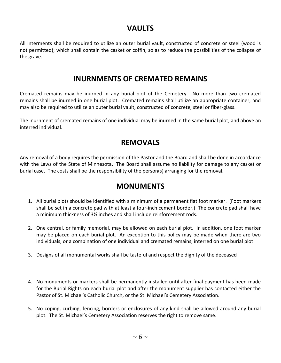# **VAULTS**

All interments shall be required to utilize an outer burial vault, constructed of concrete or steel (wood is not permitted); which shall contain the casket or coffin, so as to reduce the possibilities of the collapse of the grave.

# **INURNMENTS OF CREMATED REMAINS**

Cremated remains may be inurned in any burial plot of the Cemetery. No more than two cremated remains shall be inurned in one burial plot. Cremated remains shall utilize an appropriate container, and may also be required to utilize an outer burial vault, constructed of concrete, steel or fiber-glass.

The inurnment of cremated remains of one individual may be inurned in the same burial plot, and above an interred individual.

# **REMOVALS**

Any removal of a body requires the permission of the Pastor and the Board and shall be done in accordance with the Laws of the State of Minnesota. The Board shall assume no liability for damage to any casket or burial case. The costs shall be the responsibility of the person(s) arranging for the removal.

## **MONUMENTS**

- 1. All burial plots should be identified with a minimum of a permanent flat foot marker. (Foot markers shall be set in a concrete pad with at least a four-inch cement border.) The concrete pad shall have a minimum thickness of 3½ inches and shall include reinforcement rods.
- 2. One central, or family memorial, may be allowed on each burial plot. In addition, one foot marker may be placed on each burial plot. An exception to this policy may be made when there are two individuals, or a combination of one individual and cremated remains, interred on one burial plot.
- 3. Designs of all monumental works shall be tasteful and respect the dignity of the deceased
- 4. No monuments or markers shall be permanently installed until after final payment has been made for the Burial Rights on each burial plot and after the monument supplier has contacted either the Pastor of St. Michael's Catholic Church, or the St. Michael's Cemetery Association.
- 5. No coping, curbing, fencing, borders or enclosures of any kind shall be allowed around any burial plot. The St. Michael's Cemetery Association reserves the right to remove same.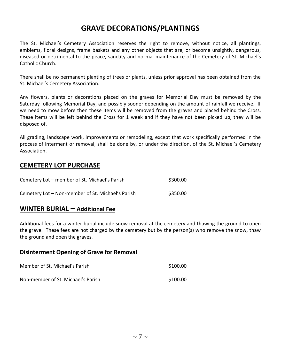# **GRAVE DECORATIONS/PLANTINGS**

The St. Michael's Cemetery Association reserves the right to remove, without notice, all plantings, emblems, floral designs, frame baskets and any other objects that are, or become unsightly, dangerous, diseased or detrimental to the peace, sanctity and normal maintenance of the Cemetery of St. Michael's Catholic Church.

There shall be no permanent planting of trees or plants, unless prior approval has been obtained from the St. Michael's Cemetery Association.

Any flowers, plants or decorations placed on the graves for Memorial Day must be removed by the Saturday following Memorial Day, and possibly sooner depending on the amount of rainfall we receive. If we need to mow before then these items will be removed from the graves and placed behind the Cross. These items will be left behind the Cross for 1 week and if they have not been picked up, they will be disposed of.

All grading, landscape work, improvements or remodeling, except that work specifically performed in the process of interment or removal, shall be done by, or under the direction, of the St. Michael's Cemetery Association.

## **CEMETERY LOT PURCHASE**

| Cemetery Lot - member of St. Michael's Parish     | \$300.00 |
|---------------------------------------------------|----------|
| Cemetery Lot - Non-member of St. Michael's Parish | \$350.00 |

## **WINTER BURIAL – Additional Fee**

Additional fees for a winter burial include snow removal at the cemetery and thawing the ground to open the grave. These fees are not charged by the cemetery but by the person(s) who remove the snow, thaw the ground and open the graves.

#### **Disinterment Opening of Grave for Removal**

| Member of St. Michael's Parish     | \$100.00 |
|------------------------------------|----------|
| Non-member of St. Michael's Parish | \$100.00 |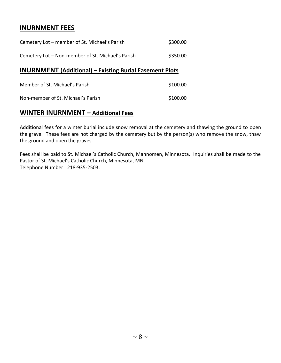## **INURNMENT FEES**

| Cemetery Lot – member of St. Michael's Parish     | \$300.00 |
|---------------------------------------------------|----------|
| Cemetery Lot - Non-member of St. Michael's Parish | \$350.00 |

## **INURNMENT (Additional) – Existing Burial Easement Plots**

| Member of St. Michael's Parish     | \$100.00 |
|------------------------------------|----------|
| Non-member of St. Michael's Parish | \$100.00 |

## **WINTER INURNMENT – Additional Fees**

Additional fees for a winter burial include snow removal at the cemetery and thawing the ground to open the grave. These fees are not charged by the cemetery but by the person(s) who remove the snow, thaw the ground and open the graves.

Fees shall be paid to St. Michael's Catholic Church, Mahnomen, Minnesota. Inquiries shall be made to the Pastor of St. Michael's Catholic Church, Minnesota, MN. Telephone Number: 218-935-2503.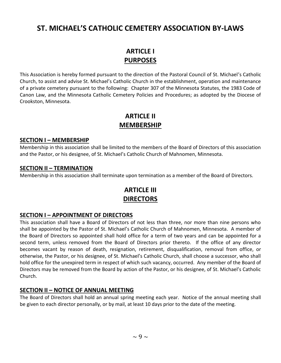# **ST. MICHAEL'S CATHOLIC CEMETERY ASSOCIATION BY-LAWS**

# **ARTICLE I PURPOSES**

This Association is hereby formed pursuant to the direction of the Pastoral Council of St. Michael's Catholic Church, to assist and advise St. Michael's Catholic Church in the establishment, operation and maintenance of a private cemetery pursuant to the following: Chapter 307 of the Minnesota Statutes, the 1983 Code of Canon Law, and the Minnesota Catholic Cemetery Policies and Procedures; as adopted by the Diocese of Crookston, Minnesota.

## **ARTICLE II MEMBERSHIP**

#### **SECTION I – MEMBERSHIP**

Membership in this association shall be limited to the members of the Board of Directors of this association and the Pastor, or his designee, of St. Michael's Catholic Church of Mahnomen, Minnesota.

#### **SECTION II – TERMINATION**

Membership in this association shall terminate upon termination as a member of the Board of Directors.

## **ARTICLE III DIRECTORS**

#### **SECTION I – APPOINTMENT OF DIRECTORS**

This association shall have a Board of Directors of not less than three, nor more than nine persons who shall be appointed by the Pastor of St. Michael's Catholic Church of Mahnomen, Minnesota. A member of the Board of Directors so appointed shall hold office for a term of two years and can be appointed for a second term, unless removed from the Board of Directors prior thereto. If the office of any director becomes vacant by reason of death, resignation, retirement, disqualification, removal from office, or otherwise, the Pastor, or his designee, of St. Michael's Catholic Church, shall choose a successor, who shall hold office for the unexpired term in respect of which such vacancy, occurred. Any member of the Board of Directors may be removed from the Board by action of the Pastor, or his designee, of St. Michael's Catholic Church.

#### **SECTION II – NOTICE OF ANNUAL MEETING**

The Board of Directors shall hold an annual spring meeting each year. Notice of the annual meeting shall be given to each director personally, or by mail, at least 10 days prior to the date of the meeting.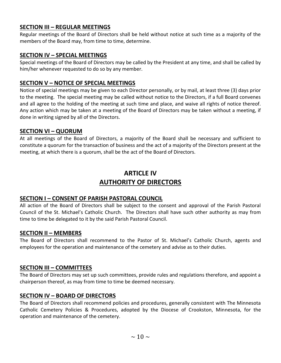## **SECTION III – REGULAR MEETINGS**

Regular meetings of the Board of Directors shall be held without notice at such time as a majority of the members of the Board may, from time to time, determine.

## **SECTION IV – SPECIAL MEETINGS**

Special meetings of the Board of Directors may be called by the President at any time, and shall be called by him/her whenever requested to do so by any member.

## **SECTION V – NOTICE OF SPECIAL MEETINGS**

Notice of special meetings may be given to each Director personally, or by mail, at least three (3) days prior to the meeting. The special meeting may be called without notice to the Directors, if a full Board convenes and all agree to the holding of the meeting at such time and place, and waive all rights of notice thereof. Any action which may be taken at a meeting of the Board of Directors may be taken without a meeting, if done in writing signed by all of the Directors.

## **SECTION VI – QUORUM**

At all meetings of the Board of Directors, a majority of the Board shall be necessary and sufficient to constitute a quorum for the transaction of business and the act of a majority of the Directors present at the meeting, at which there is a quorum, shall be the act of the Board of Directors.

# **ARTICLE IV AUTHORITY OF DIRECTORS**

## **SECTION I – CONSENT OF PARISH PASTORAL COUNCIL**

All action of the Board of Directors shall be subject to the consent and approval of the Parish Pastoral Council of the St. Michael's Catholic Church. The Directors shall have such other authority as may from time to time be delegated to it by the said Parish Pastoral Council.

#### **SECTION II – MEMBERS**

The Board of Directors shall recommend to the Pastor of St. Michael's Catholic Church, agents and employees for the operation and maintenance of the cemetery and advise as to their duties.

## **SECTION III – COMMITTEES**

The Board of Directors may set up such committees, provide rules and regulations therefore, and appoint a chairperson thereof, as may from time to time be deemed necessary.

## **SECTION IV – BOARD OF DIRECTORS**

The Board of Directors shall recommend policies and procedures, generally consistent with The Minnesota Catholic Cemetery Policies & Procedures, adopted by the Diocese of Crookston, Minnesota, for the operation and maintenance of the cemetery.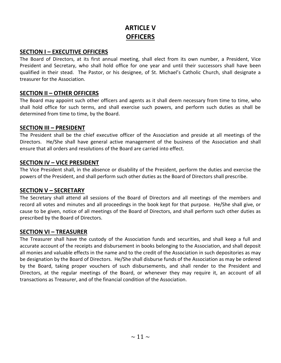# **ARTICLE V OFFICERS**

#### **SECTION I – EXECUTIVE OFFICERS**

The Board of Directors, at its first annual meeting, shall elect from its own number, a President, Vice President and Secretary, who shall hold office for one year and until their successors shall have been qualified in their stead. The Pastor, or his designee, of St. Michael's Catholic Church, shall designate a treasurer for the Association.

## **SECTION II – OTHER OFFICERS**

The Board may appoint such other officers and agents as it shall deem necessary from time to time, who shall hold office for such terms, and shall exercise such powers, and perform such duties as shall be determined from time to time, by the Board.

#### **SECTION III – PRESIDENT**

The President shall be the chief executive officer of the Association and preside at all meetings of the Directors. He/She shall have general active management of the business of the Association and shall ensure that all orders and resolutions of the Board are carried into effect.

#### **SECTION IV – VICE PRESIDENT**

The Vice President shall, in the absence or disability of the President, perform the duties and exercise the powers of the President, and shall perform such other duties as the Board of Directors shall prescribe.

#### **SECTION V – SECRETARY**

The Secretary shall attend all sessions of the Board of Directors and all meetings of the members and record all votes and minutes and all proceedings in the book kept for that purpose. He/She shall give, or cause to be given, notice of all meetings of the Board of Directors, and shall perform such other duties as prescribed by the Board of Directors.

## **SECTION VI – TREASURER**

The Treasurer shall have the custody of the Association funds and securities, and shall keep a full and accurate account of the receipts and disbursement in books belonging to the Association, and shall deposit all monies and valuable effects in the name and to the credit of the Association in such depositories as may be designation by the Board of Directors. He/She shall disburse funds of the Association as may be ordered by the Board, taking proper vouchers of such disbursements, and shall render to the President and Directors, at the regular meetings of the Board, or whenever they may require it, an account of all transactions as Treasurer, and of the financial condition of the Association.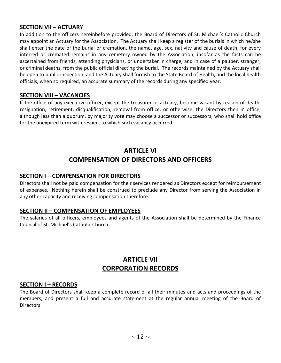## **SECTION VII – ACTUARY**

In addition to the officers hereinbefore provided, the Board of Directors of St. Michael's Catholic Church may appoint an Actuary for the Association. The Actuary shall keep a register of the burials in which he/she shall enter the date of the burial or cremation, the name, age, sex, nativity and cause of death, for every interred or cremated remains in any cemetery owned by the Association, insofar as the facts can be ascertained from friends, attending physicians, or undertaker in charge, and in case of a pauper, stranger, or criminal deaths, from the public official directing the burial. The records maintained by the Actuary shall be open to public inspection, and the Actuary shall furnish to the State Board of Health, and the local health officials, when so required, an accurate summary of the records during any specified year.

## **SECTION VIII – VACANCIES**

If the office of any executive officer, except the treasurer or actuary, become vacant by reason of death, resignation, retirement, disqualification, removal from office, or otherwise; the Directors then in office, although less than a quorum, by majority vote may choose a successor or successors, who shall hold office for the unexpired term with respect to which such vacancy occurred.

# **ARTICLE VI COMPENSATION OF DIRECTORS AND OFFICERS**

## **SECTION I – COMPENSATION FOR DIRECTORS**

Directors shall not be paid compensation for their services rendered as Directors except for reimbursement of expenses. Nothing herein shall be construed to preclude any Director from serving the Association in any other capacity and receiving compensation therefore.

#### **SECTION II – COMPENSATION OF EMPLOYEES**

The salaries of all officers, employees and agents of the Association shall be determined by the Finance Council of St. Michael's Catholic Church

## **ARTICLE VII CORPORATION RECORDS**

#### **SECTION I – RECORDS**

The Board of Directors shall keep a complete record of all their minutes and acts and proceedings of the members, and present a full and accurate statement at the regular annual meeting of the Board of Directors.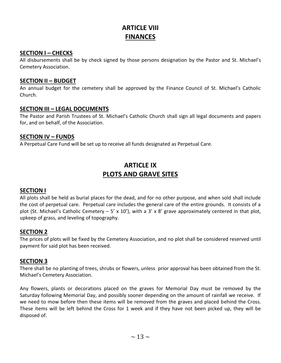# **ARTICLE VIII FINANCES**

#### **SECTION I – CHECKS**

All disbursements shall be by check signed by those persons designation by the Pastor and St. Michael's Cemetery Association.

#### **SECTION II – BUDGET**

An annual budget for the cemetery shall be approved by the Finance Council of St. Michael's Catholic Church.

#### **SECTION III – LEGAL DOCUMENTS**

The Pastor and Parish Trustees of St. Michael's Catholic Church shall sign all legal documents and papers for, and on behalf, of the Association.

#### **SECTION IV – FUNDS**

A Perpetual Care Fund will be set up to receive all funds designated as Perpetual Care.

# **ARTICLE IX PLOTS AND GRAVE SITES**

#### **SECTION I**

All plots shall be held as burial places for the dead, and for no other purpose, and when sold shall include the cost of perpetual care. Perpetual care includes the general care of the entire grounds. It consists of a plot (St. Michael's Catholic Cemetery  $-5' \times 10'$ ), with a 3' x 8' grave approximately centered in that plot, upkeep of grass, and leveling of topography.

#### **SECTION 2**

The prices of plots will be fixed by the Cemetery Association, and no plot shall be considered reserved until payment for said plot has been received.

#### **SECTION 3**

There shall be no planting of trees, shrubs or flowers, unless prior approval has been obtained from the St. Michael's Cemetery Association.

Any flowers, plants or decorations placed on the graves for Memorial Day must be removed by the Saturday following Memorial Day, and possibly sooner depending on the amount of rainfall we receive. If we need to mow before then these items will be removed from the graves and placed behind the Cross. These items will be left behind the Cross for 1 week and if they have not been picked up, they will be disposed of.